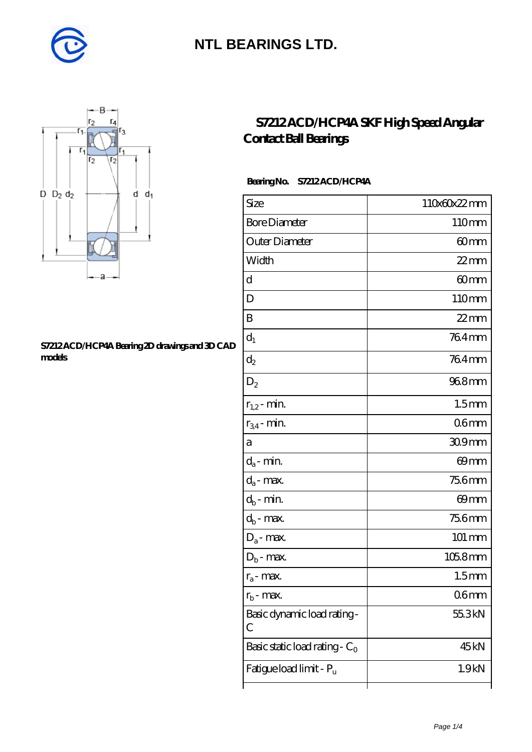



#### **[S7212 ACD/HCP4A Bearing 2D drawings and 3D CAD](https://m.diabetesfriends.net/pic-590673.html) [models](https://m.diabetesfriends.net/pic-590673.html)**

### **[S7212 ACD/HCP4A SKF High Speed Angular](https://m.diabetesfriends.net/skf-bearing/s7212-acd-hcp4a.html) [Contact Ball Bearings](https://m.diabetesfriends.net/skf-bearing/s7212-acd-hcp4a.html)**

### **Bearing No. S7212 ACD/HCP4A**

| Size                             | 110x60x22mm        |
|----------------------------------|--------------------|
| <b>Bore Diameter</b>             | 110mm              |
| Outer Diameter                   | 60mm               |
| Width                            | $22$ mm            |
| d                                | 60mm               |
| D                                | 110mm              |
| B                                | $22$ mm            |
| $\mathrm{d}_{1}$                 | 764mm              |
| $d_2$                            | 764mm              |
| $\mathrm{D}_2$                   | 968mm              |
| $r_{1,2}$ - min.                 | 1.5 <sub>mm</sub>  |
| $r_{34}$ - min.                  | 06mm               |
| а                                | 309mm              |
| $d_a$ - min.                     | 69mm               |
| $d_a$ - max.                     | 756mm              |
| $d_b$ - min.                     | 69mm               |
| $d_b$ - max.                     | 756mm              |
| $D_a$ - max.                     | $101 \, \text{mm}$ |
| $\mathbf{D}_\mathrm{b}$ - max.   | $1058$ mm          |
| $r_a$ - max.                     | 1.5 <sub>mm</sub>  |
| $r_{\rm b}$ - max.               | 06 <sub>mm</sub>   |
| Basic dynamic load rating-<br>С  | 55.3kN             |
| Basic static load rating - $C_0$ | 45kN               |
| Fatigue load limit - Pu          | 1.9 <sub>kN</sub>  |
|                                  |                    |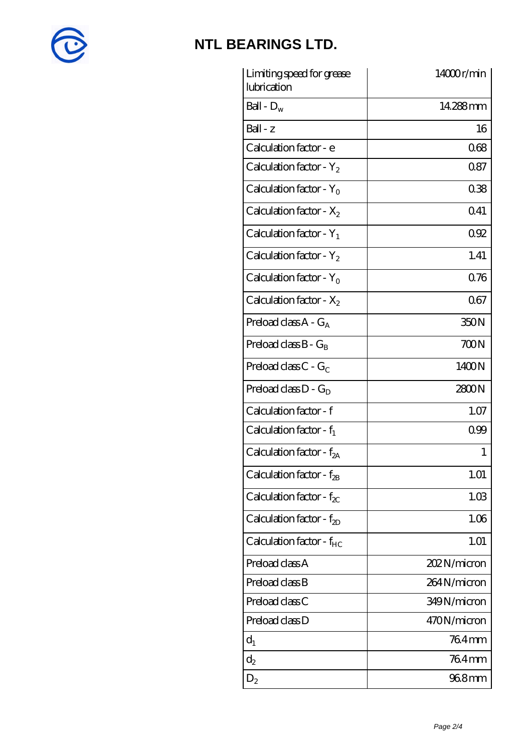

| Limiting speed for grease<br>lubrication | 14000r/min  |
|------------------------------------------|-------------|
| Ball - $D_w$                             | 14.288mm    |
| $Ball - z$                               | 16          |
| Calculation factor - e                   | 068         |
| Calculation factor - $Y_2$               | 0.87        |
| Calculation factor - $Y_0$               | 038         |
| Calculation factor - $X_2$               | 0.41        |
| Calculation factor - $Y_1$               | 092         |
| Calculation factor - $Y_2$               | 1.41        |
| Calculation factor - $Y_0$               | 0.76        |
| Calculation factor - $X_2$               | 067         |
| Preload class $A - G_A$                  | 350N        |
| Preload class $B - G_B$                  | 700N        |
| Preload class $C - G_C$                  | 1400N       |
| Preload class $D - G_D$                  | 2800N       |
| Calculation factor - f                   | 1.07        |
| Calculation factor - $f_1$               | 099         |
| Calculation factor - $f_{2A}$            | 1           |
| Calculation factor - $f_{2B}$            | 1.01        |
| Calculation factor - $f_{\chi}$          | 1.03        |
| Calculation factor - $f_{2D}$            | 1.06        |
| Calculation factor - $f_{HC}$            | 1.01        |
| Preload class A                          | 202N/micron |
| Preload class B                          | 264N/micron |
| Preload class C                          | 349N/micron |
| Preload class D                          | 470N/micron |
| $d_1$                                    | 764mm       |
| $\mathrm{d}_2$                           | 764mm       |
| $D_2$                                    | 96.8mm      |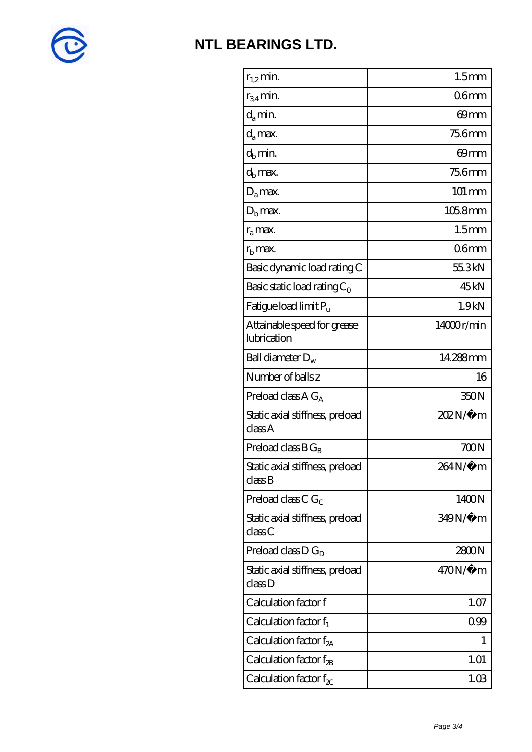

| $r_{1,2}$ min.                                                | 1.5 <sub>mm</sub> |
|---------------------------------------------------------------|-------------------|
| $r_{34}$ min.                                                 | 06 <sub>mm</sub>  |
| d <sub>a</sub> min.                                           | 69mm              |
| $d_a$ max.                                                    | <b>756mm</b>      |
| $d_b$ min.                                                    | 69mm              |
| $d_h$ max.                                                    | <b>756mm</b>      |
| $D_a$ max.                                                    | 101 mm            |
| $D_{\rm b}$ max.                                              | $1058$ mm         |
| $r_a$ max.                                                    | 1.5 <sub>mm</sub> |
| $r_{\rm h}$ max.                                              | 06 <sub>mm</sub>  |
| Basic dynamic load rating C                                   | 55.3kN            |
| Basic static load rating $C_0$                                | 45 <sub>kN</sub>  |
| Fatigue load limit $P_u$                                      | 1.9kN             |
| Attainable speed for grease<br>lubrication                    | 14000r/min        |
| Ball diameter $D_w$                                           | 14.288mm          |
| Number of balls z                                             | 16                |
| Preload class A G <sub>A</sub>                                | 350N              |
| Static axial stiffness, preload<br>classA                     | 202N/µ m          |
| Preload class $BG_R$                                          | 700N              |
| Static axial stiffness, preload<br>$\mathrm{class}\mathrm{B}$ | 264N/µ m          |
| Preload class $CG_C$                                          | 1400N             |
| Static axial stiffness, preload<br>classC                     | 349N/µ m          |
| Preload class $D G_D$                                         | 2800N             |
| Static axial stiffness, preload<br>classD                     | $470N/\mu$ m      |
| Calculation factor f                                          | 1.07              |
| Calculation factor $f_1$                                      | 0.99              |
| Calculation factor $f_{2A}$                                   | 1                 |
| Calculation factor $f_{\rm 2B}$                               | 1.01              |
| Calculation factor $f_{\chi}$                                 | 1.03              |